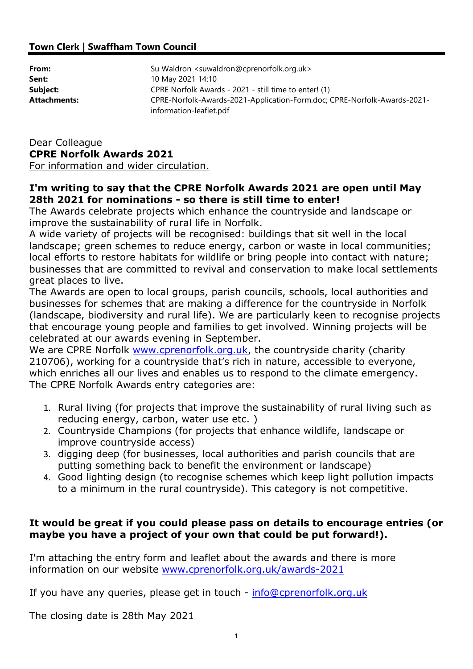## Town Clerk | Swaffham Town Council

| From:               | Su Waldron <suwaldron@cprenorfolk.org.uk></suwaldron@cprenorfolk.org.uk>                            |
|---------------------|-----------------------------------------------------------------------------------------------------|
| Sent:               | 10 May 2021 14:10                                                                                   |
| Subject:            | CPRE Norfolk Awards - 2021 - still time to enter! (1)                                               |
| <b>Attachments:</b> | CPRE-Norfolk-Awards-2021-Application-Form.doc; CPRE-Norfolk-Awards-2021-<br>information-leaflet.pdf |

## Dear Colleague CPRE Norfolk Awards 2021

For information and wider circulation.

## I'm writing to say that the CPRE Norfolk Awards 2021 are open until May 28th 2021 for nominations - so there is still time to enter!

The Awards celebrate projects which enhance the countryside and landscape or improve the sustainability of rural life in Norfolk.

A wide variety of projects will be recognised: buildings that sit well in the local landscape; green schemes to reduce energy, carbon or waste in local communities; local efforts to restore habitats for wildlife or bring people into contact with nature; businesses that are committed to revival and conservation to make local settlements great places to live.

The Awards are open to local groups, parish councils, schools, local authorities and businesses for schemes that are making a difference for the countryside in Norfolk (landscape, biodiversity and rural life). We are particularly keen to recognise projects that encourage young people and families to get involved. Winning projects will be celebrated at our awards evening in September.

We are CPRE Norfolk www.cprenorfolk.org.uk, the countryside charity (charity 210706), working for a countryside that's rich in nature, accessible to everyone, which enriches all our lives and enables us to respond to the climate emergency. The CPRE Norfolk Awards entry categories are:

- 1. Rural living (for projects that improve the sustainability of rural living such as reducing energy, carbon, water use etc. )
- 2. Countryside Champions (for projects that enhance wildlife, landscape or improve countryside access)
- 3. digging deep (for businesses, local authorities and parish councils that are putting something back to benefit the environment or landscape)
- 4. Good lighting design (to recognise schemes which keep light pollution impacts to a minimum in the rural countryside). This category is not competitive.

## It would be great if you could please pass on details to encourage entries (or maybe you have a project of your own that could be put forward!).

I'm attaching the entry form and leaflet about the awards and there is more information on our website www.cprenorfolk.org.uk/awards-2021

If you have any queries, please get in touch - info@cprenorfolk.org.uk

The closing date is 28th May 2021